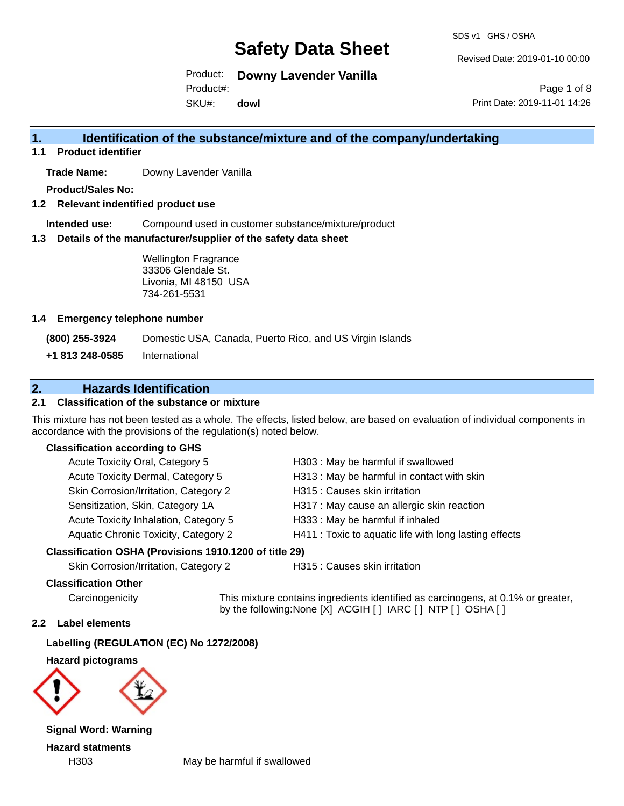SDS v1 GHS / OSHA

Revised Date: 2019-01-10 00:00

Product: **Downy Lavender Vanilla**

Product#:

SKU#: **dowl**

Page 1 of 8 Print Date: 2019-11-01 14:26

### **1. Identification of the substance/mixture and of the company/undertaking**

**1.1 Product identifier**

**Trade Name:** Downy Lavender Vanilla

**Product/Sales No:**

**1.2 Relevant indentified product use**

**Intended use:** Compound used in customer substance/mixture/product

**1.3 Details of the manufacturer/supplier of the safety data sheet**

Wellington Fragrance 33306 Glendale St. Livonia, MI 48150 USA 734-261-5531

#### **1.4 Emergency telephone number**

**(800) 255-3924** Domestic USA, Canada, Puerto Rico, and US Virgin Islands

**+1 813 248-0585** International

### **2. Hazards Identification**

#### **2.1 Classification of the substance or mixture**

This mixture has not been tested as a whole. The effects, listed below, are based on evaluation of individual components in accordance with the provisions of the regulation(s) noted below.

#### **Classification according to GHS**

| Acute Toxicity Oral, Category 5       | H303 : May be harmful if swallowed                     |
|---------------------------------------|--------------------------------------------------------|
| Acute Toxicity Dermal, Category 5     | H313 : May be harmful in contact with skin             |
| Skin Corrosion/Irritation, Category 2 | H315 : Causes skin irritation                          |
| Sensitization, Skin, Category 1A      | H317 : May cause an allergic skin reaction             |
| Acute Toxicity Inhalation, Category 5 | H333: May be harmful if inhaled                        |
| Aquatic Chronic Toxicity, Category 2  | H411 : Toxic to aquatic life with long lasting effects |
|                                       |                                                        |

#### **Classification OSHA (Provisions 1910.1200 of title 29)**

Skin Corrosion/Irritation, Category 2 H315 : Causes skin irritation

#### **Classification Other**

Carcinogenicity This mixture contains ingredients identified as carcinogens, at 0.1% or greater, by the following:None [X] ACGIH [ ] IARC [ ] NTP [ ] OSHA [ ]

#### **2.2 Label elements**

**Labelling (REGULATION (EC) No 1272/2008)**

**Hazard pictograms**



**Signal Word: Warning Hazard statments**

H303 May be harmful if swallowed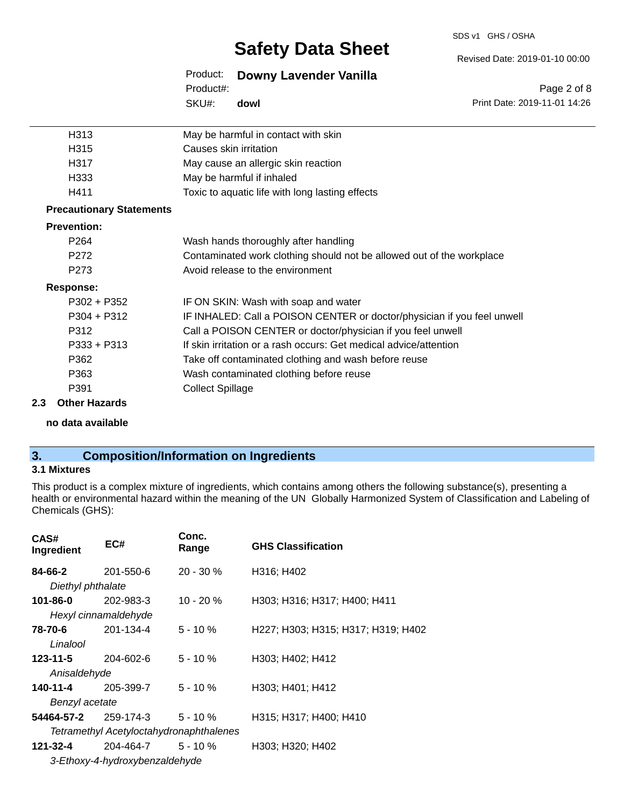#### SDS v1 GHS / OSHA

## **Safety Data Sheet**

Revised Date: 2019-01-10 00:00

Print Date: 2019-11-01 14:26

Page 2 of 8

Product: **Downy Lavender Vanilla** SKU#: Product#: **dowl**

|     | H313                            | May be harmful in contact with skin                                     |
|-----|---------------------------------|-------------------------------------------------------------------------|
|     | H315                            | Causes skin irritation                                                  |
|     | H317                            | May cause an allergic skin reaction                                     |
|     | H333                            | May be harmful if inhaled                                               |
|     | H411                            | Toxic to aquatic life with long lasting effects                         |
|     | <b>Precautionary Statements</b> |                                                                         |
|     | <b>Prevention:</b>              |                                                                         |
|     | P <sub>264</sub>                | Wash hands thoroughly after handling                                    |
|     | P <sub>272</sub>                | Contaminated work clothing should not be allowed out of the workplace   |
|     | P <sub>273</sub>                | Avoid release to the environment                                        |
|     | <b>Response:</b>                |                                                                         |
|     | $P302 + P352$                   | IF ON SKIN: Wash with soap and water                                    |
|     | $P304 + P312$                   | IF INHALED: Call a POISON CENTER or doctor/physician if you feel unwell |
|     | P312                            | Call a POISON CENTER or doctor/physician if you feel unwell             |
|     | $P333 + P313$                   | If skin irritation or a rash occurs: Get medical advice/attention       |
|     | P362                            | Take off contaminated clothing and wash before reuse                    |
|     | P363                            | Wash contaminated clothing before reuse                                 |
|     | P391                            | <b>Collect Spillage</b>                                                 |
| 2.3 | <b>Other Hazards</b>            |                                                                         |

**no data available**

## **3. Composition/Information on Ingredients**

#### **3.1 Mixtures**

This product is a complex mixture of ingredients, which contains among others the following substance(s), presenting a health or environmental hazard within the meaning of the UN Globally Harmonized System of Classification and Labeling of Chemicals (GHS):

| CAS#<br>Ingredient | EC#                            | Conc.<br>Range                          | <b>GHS Classification</b>          |
|--------------------|--------------------------------|-----------------------------------------|------------------------------------|
| 84-66-2            | 201-550-6                      | $20 - 30 \%$                            | H316; H402                         |
| Diethyl phthalate  |                                |                                         |                                    |
| 101-86-0           | 202-983-3                      | $10 - 20 \%$                            | H303; H316; H317; H400; H411       |
|                    | Hexyl cinnamaldehyde           |                                         |                                    |
| 78-70-6            | 201-134-4                      | $5 - 10 \%$                             | H227; H303; H315; H317; H319; H402 |
| Linalool           |                                |                                         |                                    |
| 123-11-5           | 204-602-6                      | $5 - 10 \%$                             | H303; H402; H412                   |
| Anisaldehyde       |                                |                                         |                                    |
| 140-11-4           | 205-399-7                      | $5 - 10 \%$                             | H303; H401; H412                   |
| Benzyl acetate     |                                |                                         |                                    |
|                    | <b>54464-57-2</b> 259-174-3    | 5 - 10 %                                | H315; H317; H400; H410             |
|                    |                                | Tetramethyl Acetyloctahydronaphthalenes |                                    |
| 121-32-4           | 204-464-7                      | $5 - 10%$                               | H303; H320; H402                   |
|                    | 3-Ethoxy-4-hydroxybenzaldehyde |                                         |                                    |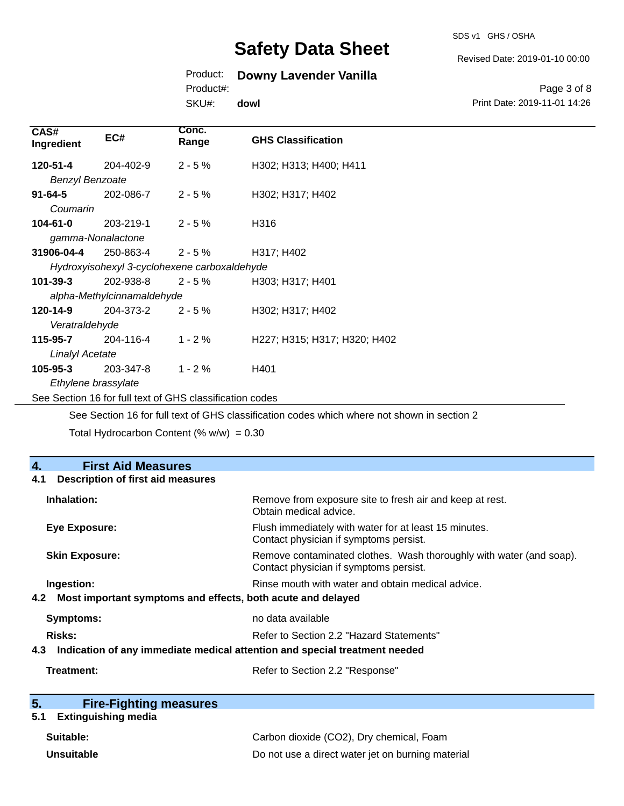SDS v1 GHS / OSHA

#### Revised Date: 2019-01-10 00:00

### Product: **Downy Lavender Vanilla**

Product#:

SKU#: **dowl**

Page 3 of 8 Print Date: 2019-11-01 14:26

| CAS#<br>Ingredient                                       | EC#                                          | Conc.<br>Range | <b>GHS Classification</b>                                                                   |
|----------------------------------------------------------|----------------------------------------------|----------------|---------------------------------------------------------------------------------------------|
| 120-51-4                                                 | 204-402-9                                    | $2 - 5%$       | H302; H313; H400; H411                                                                      |
| <b>Benzyl Benzoate</b>                                   |                                              |                |                                                                                             |
| $91 - 64 - 5$                                            | 202-086-7                                    | $2 - 5%$       | H302; H317; H402                                                                            |
| Coumarin                                                 |                                              |                |                                                                                             |
| $104 - 61 - 0$                                           | 203-219-1                                    | $2 - 5%$       | H316                                                                                        |
|                                                          | gamma-Nonalactone                            |                |                                                                                             |
| 31906-04-4                                               | 250-863-4                                    | $2 - 5%$       | H317; H402                                                                                  |
|                                                          | Hydroxyisohexyl 3-cyclohexene carboxaldehyde |                |                                                                                             |
| $101 - 39 - 3$                                           | 202-938-8                                    | $2 - 5%$       | H303; H317; H401                                                                            |
|                                                          | alpha-Methylcinnamaldehyde                   |                |                                                                                             |
| 120-14-9                                                 | 204-373-2                                    | $2 - 5%$       | H302; H317; H402                                                                            |
| Veratraldehyde                                           |                                              |                |                                                                                             |
| 115-95-7                                                 | 204-116-4                                    | $1 - 2%$       | H227; H315; H317; H320; H402                                                                |
| <b>Linalyl Acetate</b>                                   |                                              |                |                                                                                             |
| 105-95-3                                                 | 203-347-8                                    | $1 - 2%$       | H401                                                                                        |
| Ethylene brassylate                                      |                                              |                |                                                                                             |
| See Section 16 for full text of GHS classification codes |                                              |                |                                                                                             |
|                                                          |                                              |                | See Section 16 for full text of GHS classification codes which where not shown in section 2 |

Total Hydrocarbon Content (%  $w/w$ ) = 0.30

| 4.<br><b>First Aid Measures</b>                                                   |                                                                                                               |
|-----------------------------------------------------------------------------------|---------------------------------------------------------------------------------------------------------------|
| <b>Description of first aid measures</b><br>4.1                                   |                                                                                                               |
| Inhalation:                                                                       | Remove from exposure site to fresh air and keep at rest.<br>Obtain medical advice.                            |
| Eye Exposure:                                                                     | Flush immediately with water for at least 15 minutes.<br>Contact physician if symptoms persist.               |
| <b>Skin Exposure:</b>                                                             | Remove contaminated clothes. Wash thoroughly with water (and soap).<br>Contact physician if symptoms persist. |
| Ingestion:                                                                        | Rinse mouth with water and obtain medical advice.                                                             |
| Most important symptoms and effects, both acute and delayed<br>4.2                |                                                                                                               |
| Symptoms:                                                                         | no data available                                                                                             |
| <b>Risks:</b>                                                                     | Refer to Section 2.2 "Hazard Statements"                                                                      |
| Indication of any immediate medical attention and special treatment needed<br>4.3 |                                                                                                               |
| Treatment:                                                                        | Refer to Section 2.2 "Response"                                                                               |

# **5.** Fire-Fighting measures<br> **5.1** Extinguishing media

## **5.1 Extinguishing media**

| Suitable:  | Carbon dioxide (CO2), Dry chemical, Foam          |
|------------|---------------------------------------------------|
| Unsuitable | Do not use a direct water jet on burning material |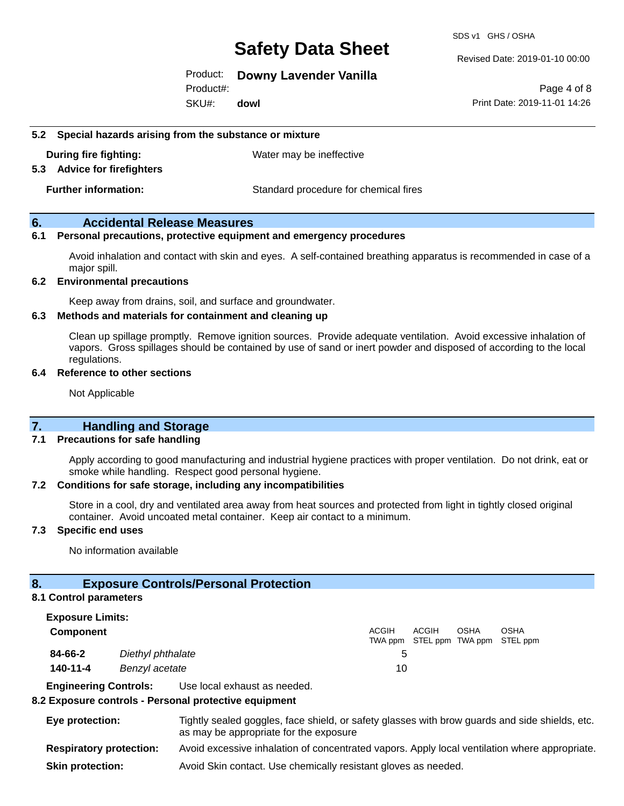SDS v1 GHS / OSHA

Revised Date: 2019-01-10 00:00

#### Product: **Downy Lavender Vanilla**

SKU#: Product#: **dowl**

Page 4 of 8 Print Date: 2019-11-01 14:26

#### **5.2 Special hazards arising from the substance or mixture**

**During fire fighting:** Water may be ineffective

#### **5.3 Advice for firefighters**

**Further information:** Standard procedure for chemical fires

#### **6. Accidental Release Measures**

#### **6.1 Personal precautions, protective equipment and emergency procedures**

Avoid inhalation and contact with skin and eyes. A self-contained breathing apparatus is recommended in case of a major spill.

#### **6.2 Environmental precautions**

Keep away from drains, soil, and surface and groundwater.

#### **6.3 Methods and materials for containment and cleaning up**

Clean up spillage promptly. Remove ignition sources. Provide adequate ventilation. Avoid excessive inhalation of vapors. Gross spillages should be contained by use of sand or inert powder and disposed of according to the local regulations.

#### **6.4 Reference to other sections**

Not Applicable

#### **7. Handling and Storage**

#### **7.1 Precautions for safe handling**

Apply according to good manufacturing and industrial hygiene practices with proper ventilation. Do not drink, eat or smoke while handling. Respect good personal hygiene.

#### **7.2 Conditions for safe storage, including any incompatibilities**

Store in a cool, dry and ventilated area away from heat sources and protected from light in tightly closed original container. Avoid uncoated metal container. Keep air contact to a minimum.

#### **7.3 Specific end uses**

No information available

#### **8. Exposure Controls/Personal Protection**

#### **8.1 Control parameters**

| <b>Exposure Limits:</b> |                   |       |                                            |             |             |
|-------------------------|-------------------|-------|--------------------------------------------|-------------|-------------|
| <b>Component</b>        |                   | ACGIH | ACGIH<br>TWA ppm STEL ppm TWA ppm STEL ppm | <b>OSHA</b> | <b>OSHA</b> |
| 84-66-2                 | Diethyl phthalate |       |                                            |             |             |
| 140-11-4                | Benzyl acetate    | 10    |                                            |             |             |

**Engineering Controls:** Use local exhaust as needed.

#### **8.2 Exposure controls - Personal protective equipment**

- **Eye protection:** Tightly sealed goggles, face shield, or safety glasses with brow guards and side shields, etc. as may be appropriate for the exposure **Respiratory protection:** Avoid excessive inhalation of concentrated vapors. Apply local ventilation where appropriate.
- **Skin protection:** Avoid Skin contact. Use chemically resistant gloves as needed.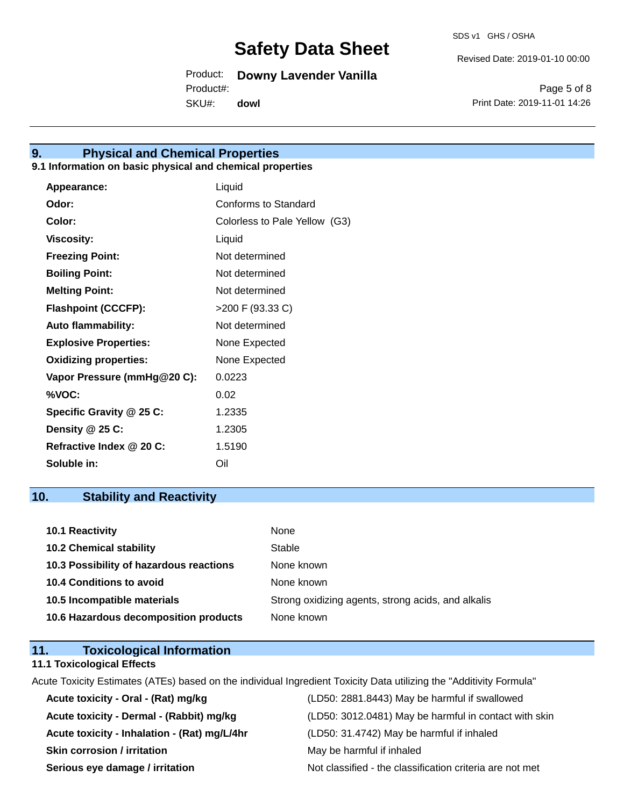SDS v1 GHS / OSHA

Revised Date: 2019-01-10 00:00

Product: **Downy Lavender Vanilla**

SKU#: Product#: **dowl**

Page 5 of 8 Print Date: 2019-11-01 14:26

### **9. Physical and Chemical Properties**

### **9.1 Information on basic physical and chemical properties**

| Appearance:                  | Liquid                        |
|------------------------------|-------------------------------|
| Odor:                        | Conforms to Standard          |
| Color:                       | Colorless to Pale Yellow (G3) |
| <b>Viscosity:</b>            | Liquid                        |
| <b>Freezing Point:</b>       | Not determined                |
| <b>Boiling Point:</b>        | Not determined                |
| <b>Melting Point:</b>        | Not determined                |
| <b>Flashpoint (CCCFP):</b>   | >200 F (93.33 C)              |
| <b>Auto flammability:</b>    | Not determined                |
| <b>Explosive Properties:</b> | None Expected                 |
| <b>Oxidizing properties:</b> | None Expected                 |
| Vapor Pressure (mmHg@20 C):  | 0.0223                        |
| %VOC:                        | 0.02                          |
| Specific Gravity @ 25 C:     | 1.2335                        |
| Density @ 25 C:              | 1.2305                        |
| Refractive Index @ 20 C:     | 1.5190                        |
| Soluble in:                  | Oil                           |

## **10. Stability and Reactivity**

| 10.1 Reactivity                         | None                                               |
|-----------------------------------------|----------------------------------------------------|
| <b>10.2 Chemical stability</b>          | Stable                                             |
| 10.3 Possibility of hazardous reactions | None known                                         |
| <b>10.4 Conditions to avoid</b>         | None known                                         |
| 10.5 Incompatible materials             | Strong oxidizing agents, strong acids, and alkalis |
| 10.6 Hazardous decomposition products   | None known                                         |

## **11. Toxicological Information**

### **11.1 Toxicological Effects**

Acute Toxicity Estimates (ATEs) based on the individual Ingredient Toxicity Data utilizing the "Additivity Formula"

| Acute toxicity - Oral - (Rat) mg/kg          | (LD50: 2881.8443) May be harmful if swallowed            |
|----------------------------------------------|----------------------------------------------------------|
| Acute toxicity - Dermal - (Rabbit) mg/kg     | (LD50: 3012.0481) May be harmful in contact with skin    |
| Acute toxicity - Inhalation - (Rat) mg/L/4hr | (LD50: 31.4742) May be harmful if inhaled                |
| <b>Skin corrosion / irritation</b>           | May be harmful if inhaled                                |
| Serious eye damage / irritation              | Not classified - the classification criteria are not met |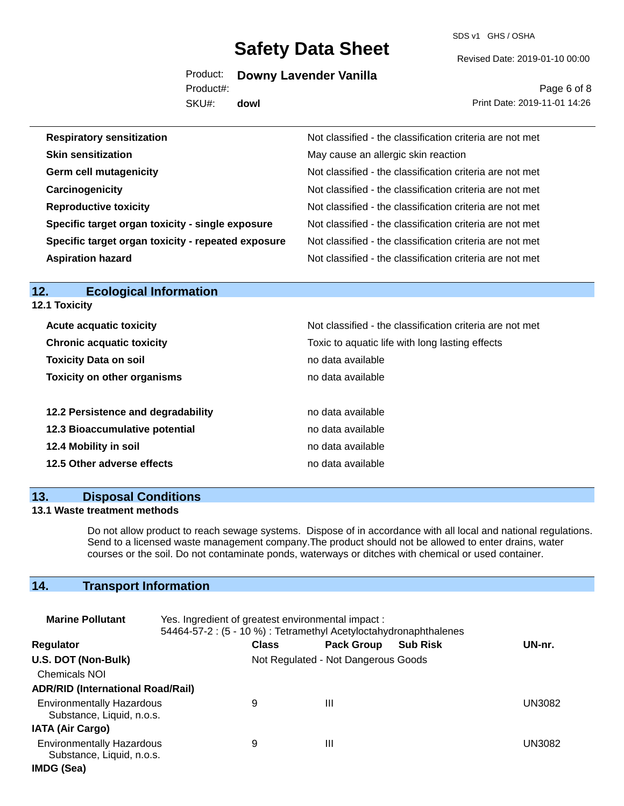SDS v1 GHS / OSHA

Revised Date: 2019-01-10 00:00

Product: **Downy Lavender Vanilla**

Product#:

SKU#: **dowl**

Page 6 of 8 Print Date: 2019-11-01 14:26

| <b>Respiratory sensitization</b>                   | Not classified - the classification criteria are not met |
|----------------------------------------------------|----------------------------------------------------------|
| <b>Skin sensitization</b>                          | May cause an allergic skin reaction                      |
| <b>Germ cell mutagenicity</b>                      | Not classified - the classification criteria are not met |
| Carcinogenicity                                    | Not classified - the classification criteria are not met |
| <b>Reproductive toxicity</b>                       | Not classified - the classification criteria are not met |
| Specific target organ toxicity - single exposure   | Not classified - the classification criteria are not met |
| Specific target organ toxicity - repeated exposure | Not classified - the classification criteria are not met |
| <b>Aspiration hazard</b>                           | Not classified - the classification criteria are not met |

#### **12. Ecological Information 12.1 Toxicity**

| <b>Acute acquatic toxicity</b>                                   | Not classified - the classification criteria are not met             |
|------------------------------------------------------------------|----------------------------------------------------------------------|
| <b>Chronic acquatic toxicity</b><br><b>Toxicity Data on soil</b> | Toxic to aquatic life with long lasting effects<br>no data available |
| <b>Toxicity on other organisms</b>                               | no data available                                                    |
| 12.2 Persistence and degradability                               | no data available                                                    |
| 12.3 Bioaccumulative potential                                   | no data available                                                    |
| 12.4 Mobility in soil                                            | no data available                                                    |
| 12.5 Other adverse effects                                       | no data available                                                    |

#### **13. Disposal Conditions**

#### **13.1 Waste treatment methods**

Do not allow product to reach sewage systems. Dispose of in accordance with all local and national regulations. Send to a licensed waste management company.The product should not be allowed to enter drains, water courses or the soil. Do not contaminate ponds, waterways or ditches with chemical or used container.

## **14. Transport Information**

| <b>Marine Pollutant</b>                                       | Yes. Ingredient of greatest environmental impact:<br>54464-57-2 : (5 - 10 %) : Tetramethyl Acetyloctahydronaphthalenes |                                     |                   |                 |               |
|---------------------------------------------------------------|------------------------------------------------------------------------------------------------------------------------|-------------------------------------|-------------------|-----------------|---------------|
| <b>Regulator</b>                                              |                                                                                                                        | <b>Class</b>                        | <b>Pack Group</b> | <b>Sub Risk</b> | UN-nr.        |
| U.S. DOT (Non-Bulk)                                           |                                                                                                                        | Not Regulated - Not Dangerous Goods |                   |                 |               |
| <b>Chemicals NOI</b>                                          |                                                                                                                        |                                     |                   |                 |               |
| <b>ADR/RID (International Road/Rail)</b>                      |                                                                                                                        |                                     |                   |                 |               |
| <b>Environmentally Hazardous</b><br>Substance, Liquid, n.o.s. |                                                                                                                        | 9                                   | Ш                 |                 | <b>UN3082</b> |
| <b>IATA (Air Cargo)</b>                                       |                                                                                                                        |                                     |                   |                 |               |
| <b>Environmentally Hazardous</b><br>Substance, Liquid, n.o.s. |                                                                                                                        | 9                                   | Ш                 |                 | UN3082        |
| IMDG (Sea)                                                    |                                                                                                                        |                                     |                   |                 |               |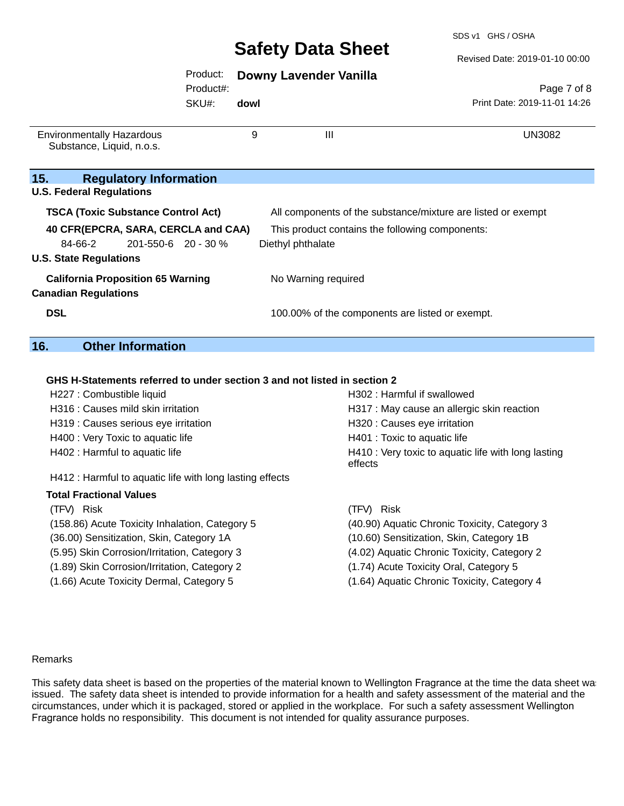SDS v1 GHS / OSHA

Revised Date: 2019-01-10 00:00

#### Product: **Downy Lavender Vanilla**

Product#:

SKU#: **dowl**

Page 7 of 8 Print Date: 2019-11-01 14:26

| <b>Environmentally Hazardous</b><br>Substance, Liquid, n.o.s.           | 9 | $\mathbf{III}$                                               | UN3082                                          |  |
|-------------------------------------------------------------------------|---|--------------------------------------------------------------|-------------------------------------------------|--|
| 15.<br><b>Regulatory Information</b>                                    |   |                                                              |                                                 |  |
| <b>U.S. Federal Regulations</b>                                         |   |                                                              |                                                 |  |
| <b>TSCA (Toxic Substance Control Act)</b>                               |   | All components of the substance/mixture are listed or exempt |                                                 |  |
| 40 CFR(EPCRA, SARA, CERCLA and CAA)                                     |   |                                                              | This product contains the following components: |  |
| 84-66-2<br>$201 - 550 - 6$ 20 - 30 %                                    |   | Diethyl phthalate                                            |                                                 |  |
| <b>U.S. State Regulations</b>                                           |   |                                                              |                                                 |  |
| <b>California Proposition 65 Warning</b><br><b>Canadian Regulations</b> |   | No Warning required                                          |                                                 |  |
| <b>DSL</b>                                                              |   |                                                              | 100.00% of the components are listed or exempt. |  |

#### **16. Other Information**

#### **GHS H-Statements referred to under section 3 and not listed in section 2**

| H227 : Combustible liquid                                | H302: Harmful if swallowed                                     |  |  |  |
|----------------------------------------------------------|----------------------------------------------------------------|--|--|--|
| H316 : Causes mild skin irritation                       | H317 : May cause an allergic skin reaction                     |  |  |  |
| H319 : Causes serious eye irritation                     | H320 : Causes eye irritation                                   |  |  |  |
| H400 : Very Toxic to aquatic life                        | H401 : Toxic to aquatic life                                   |  |  |  |
| H402 : Harmful to aquatic life                           | H410 : Very toxic to aquatic life with long lasting<br>effects |  |  |  |
| H412 : Harmful to aquatic life with long lasting effects |                                                                |  |  |  |
| <b>Total Fractional Values</b>                           |                                                                |  |  |  |
| (TFV) Risk                                               | (TFV) Risk                                                     |  |  |  |
| (158.86) Acute Toxicity Inhalation, Category 5           | (40.90) Aquatic Chronic Toxicity, Category 3                   |  |  |  |
| (36.00) Sensitization, Skin, Category 1A                 | (10.60) Sensitization, Skin, Category 1B                       |  |  |  |
| (5.95) Skin Corrosion/Irritation, Category 3             | (4.02) Aquatic Chronic Toxicity, Category 2                    |  |  |  |
| (1.89) Skin Corrosion/Irritation, Category 2             | (1.74) Acute Toxicity Oral, Category 5                         |  |  |  |

- (1.66) Acute Toxicity Dermal, Category 5 (1.64) Aquatic Chronic Toxicity, Category 4
- 

#### Remarks

This safety data sheet is based on the properties of the material known to Wellington Fragrance at the time the data sheet was issued. The safety data sheet is intended to provide information for a health and safety assessment of the material and the circumstances, under which it is packaged, stored or applied in the workplace. For such a safety assessment Wellington Fragrance holds no responsibility. This document is not intended for quality assurance purposes.